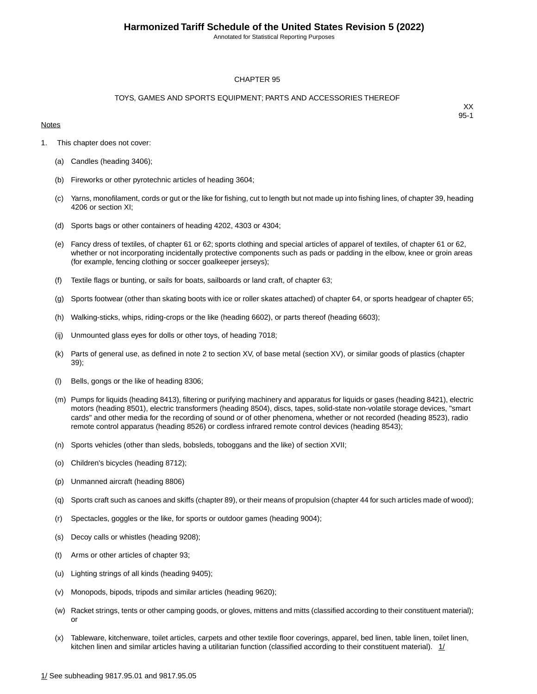Annotated for Statistical Reporting Purposes

#### CHAPTER 95

#### TOYS, GAMES AND SPORTS EQUIPMENT; PARTS AND ACCESSORIES THEREOF

#### **Notes**

- 1. This chapter does not cover:
	- (a) Candles (heading 3406);
	- (b) Fireworks or other pyrotechnic articles of heading 3604;
	- (c) Yarns, monofilament, cords or gut or the like for fishing, cut to length but not made up into fishing lines, of chapter 39, heading 4206 or section XI;
	- (d) Sports bags or other containers of heading 4202, 4303 or 4304;
	- (e) Fancy dress of textiles, of chapter 61 or 62; sports clothing and special articles of apparel of textiles, of chapter 61 or 62, whether or not incorporating incidentally protective components such as pads or padding in the elbow, knee or groin areas (for example, fencing clothing or soccer goalkeeper jerseys);
	- (f) Textile flags or bunting, or sails for boats, sailboards or land craft, of chapter 63;
	- (g) Sports footwear (other than skating boots with ice or roller skates attached) of chapter 64, or sports headgear of chapter 65;
	- (h) Walking-sticks, whips, riding-crops or the like (heading 6602), or parts thereof (heading 6603);
	- (ij) Unmounted glass eyes for dolls or other toys, of heading 7018;
	- (k) Parts of general use, as defined in note 2 to section XV, of base metal (section XV), or similar goods of plastics (chapter 39);
	- (l) Bells, gongs or the like of heading 8306;
	- (m) Pumps for liquids (heading 8413), filtering or purifying machinery and apparatus for liquids or gases (heading 8421), electric motors (heading 8501), electric transformers (heading 8504), discs, tapes, solid-state non-volatile storage devices, "smart cards" and other media for the recording of sound or of other phenomena, whether or not recorded (heading 8523), radio remote control apparatus (heading 8526) or cordless infrared remote control devices (heading 8543);
	- (n) Sports vehicles (other than sleds, bobsleds, toboggans and the like) of section XVII;
	- (o) Children's bicycles (heading 8712);
	- (p) Unmanned aircraft (heading 8806)
	- (q) Sports craft such as canoes and skiffs (chapter 89), or their means of propulsion (chapter 44 for such articles made of wood);
	- (r) Spectacles, goggles or the like, for sports or outdoor games (heading 9004);
	- (s) Decoy calls or whistles (heading 9208);
	- (t) Arms or other articles of chapter 93;
	- (u) Lighting strings of all kinds (heading 9405);
	- (v) Monopods, bipods, tripods and similar articles (heading 9620);
	- (w) Racket strings, tents or other camping goods, or gloves, mittens and mitts (classified according to their constituent material); or
	- (x) Tableware, kitchenware, toilet articles, carpets and other textile floor coverings, apparel, bed linen, table linen, toilet linen, kitchen linen and similar articles having a utilitarian function (classified according to their constituent material).  $1/$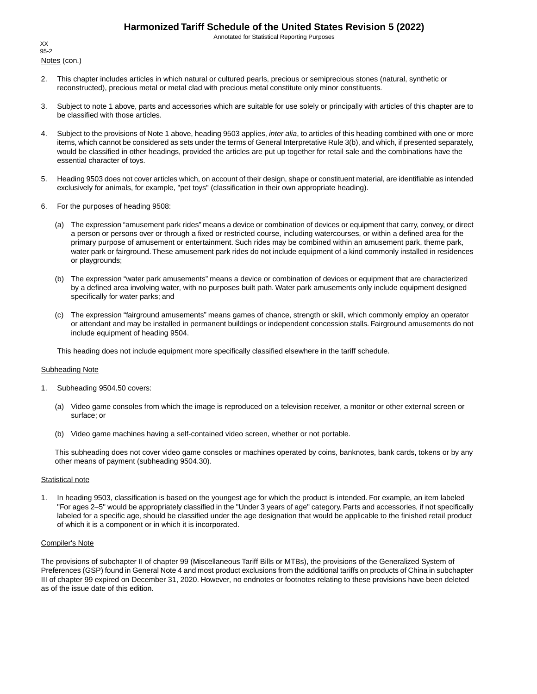Annotated for Statistical Reporting Purposes

Notes (con.) XX 95-2

- 2. This chapter includes articles in which natural or cultured pearls, precious or semiprecious stones (natural, synthetic or reconstructed), precious metal or metal clad with precious metal constitute only minor constituents.
- 3. Subject to note 1 above, parts and accessories which are suitable for use solely or principally with articles of this chapter are to be classified with those articles.
- 4. Subject to the provisions of Note 1 above, heading 9503 applies, *inter alia*, to articles of this heading combined with one or more items, which cannot be considered as sets under the terms of General Interpretative Rule 3(b), and which, if presented separately, would be classified in other headings, provided the articles are put up together for retail sale and the combinations have the essential character of toys.
- 5. Heading 9503 does not cover articles which, on account of their design, shape or constituent material, are identifiable as intended exclusively for animals, for example, "pet toys" (classification in their own appropriate heading).
- 6. For the purposes of heading 9508:
	- (a) The expression "amusement park rides" means a device or combination of devices or equipment that carry, convey, or direct a person or persons over or through a fixed or restricted course, including watercourses, or within a defined area for the primary purpose of amusement or entertainment. Such rides may be combined within an amusement park, theme park, water park or fairground.These amusement park rides do not include equipment of a kind commonly installed in residences or playgrounds;
	- (b) The expression "water park amusements" means a device or combination of devices or equipment that are characterized by a defined area involving water, with no purposes built path. Water park amusements only include equipment designed specifically for water parks; and
	- (c) The expression "fairground amusements" means games of chance, strength or skill, which commonly employ an operator or attendant and may be installed in permanent buildings or independent concession stalls. Fairground amusements do not include equipment of heading 9504.

This heading does not include equipment more specifically classified elsewhere in the tariff schedule.

#### Subheading Note

- 1. Subheading 9504.50 covers:
	- (a) Video game consoles from which the image is reproduced on a television receiver, a monitor or other external screen or surface; or
	- (b) Video game machines having a self-contained video screen, whether or not portable.

This subheading does not cover video game consoles or machines operated by coins, banknotes, bank cards, tokens or by any other means of payment (subheading 9504.30).

#### **Statistical note**

1. In heading 9503, classification is based on the youngest age for which the product is intended. For example, an item labeled "For ages 2–5" would be appropriately classified in the "Under 3 years of age" category. Parts and accessories, if not specifically labeled for a specific age, should be classified under the age designation that would be applicable to the finished retail product of which it is a component or in which it is incorporated.

#### Compiler's Note

The provisions of subchapter II of chapter 99 (Miscellaneous Tariff Bills or MTBs), the provisions of the Generalized System of Preferences (GSP) found in General Note 4 and most product exclusions from the additional tariffs on products of China in subchapter III of chapter 99 expired on December 31, 2020. However, no endnotes or footnotes relating to these provisions have been deleted as of the issue date of this edition.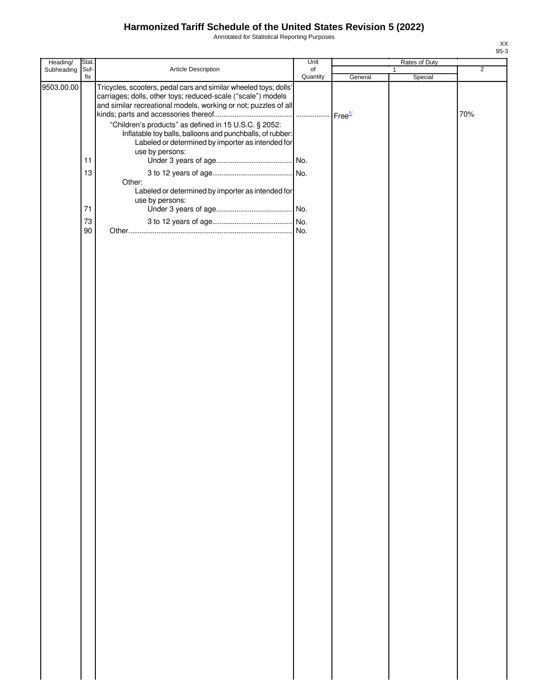Annotated for Statistical Reporting Purposes

| Heading/   | Stat.       |                                                                                                                                                                                                                                                                                                                                                                                | Unit           |         | Rates of Duty           |                |
|------------|-------------|--------------------------------------------------------------------------------------------------------------------------------------------------------------------------------------------------------------------------------------------------------------------------------------------------------------------------------------------------------------------------------|----------------|---------|-------------------------|----------------|
| Subheading | Suf-<br>fix | Article Description                                                                                                                                                                                                                                                                                                                                                            | of<br>Quantity | General | $\mathbf{1}$<br>Special | $\overline{2}$ |
| 9503.00.00 |             | Tricycles, scooters, pedal cars and similar wheeled toys; dolls'<br>carriages; dolls, other toys; reduced-scale ("scale") models<br>and similar recreational models, working or not; puzzles of all<br>"Children's products" as defined in 15 U.S.C. § 2052:<br>Inflatable toy balls, balloons and punchballs, of rubber:<br>Labeled or determined by importer as intended for |                |         |                         | 70%            |
|            |             | use by persons:                                                                                                                                                                                                                                                                                                                                                                |                |         |                         |                |
|            | 11          |                                                                                                                                                                                                                                                                                                                                                                                |                |         |                         |                |
|            | 13          |                                                                                                                                                                                                                                                                                                                                                                                |                |         |                         |                |
|            | 71          | Other:<br>Labeled or determined by importer as intended for<br>use by persons:                                                                                                                                                                                                                                                                                                 |                |         |                         |                |
|            | 73          |                                                                                                                                                                                                                                                                                                                                                                                |                |         |                         |                |
|            | 90          |                                                                                                                                                                                                                                                                                                                                                                                |                |         |                         |                |
|            |             |                                                                                                                                                                                                                                                                                                                                                                                |                |         |                         |                |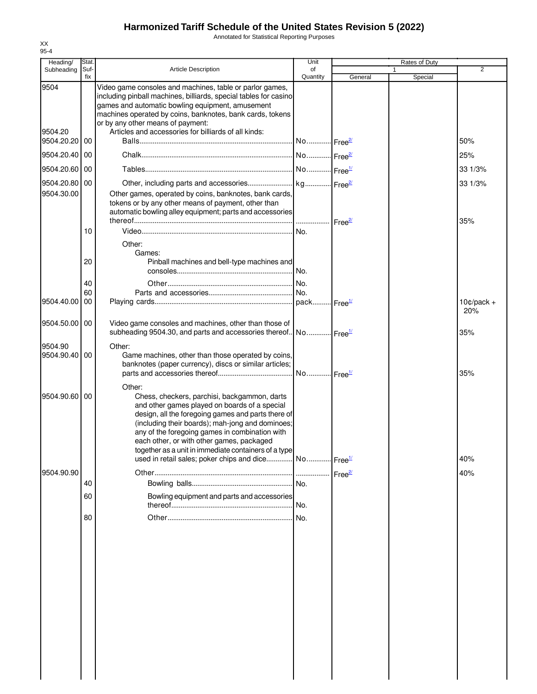Annotated for Statistical Reporting Purposes

| Heading/                         | Stat.       |                                                                                                                                                                                                                                                                                                                                                                                                                                              | Unit                  |                    | <b>Rates of Duty</b> |                     |
|----------------------------------|-------------|----------------------------------------------------------------------------------------------------------------------------------------------------------------------------------------------------------------------------------------------------------------------------------------------------------------------------------------------------------------------------------------------------------------------------------------------|-----------------------|--------------------|----------------------|---------------------|
| Subheading                       | Suf-<br>fix | <b>Article Description</b>                                                                                                                                                                                                                                                                                                                                                                                                                   | of<br>Quantity        | General            | Special              | $\overline{2}$      |
| 9504<br>9504.20<br>9504.20.20 00 |             | Video game consoles and machines, table or parlor games,<br>including pinball machines, billiards, special tables for casino<br>games and automatic bowling equipment, amusement<br>machines operated by coins, banknotes, bank cards, tokens<br>or by any other means of payment:<br>Articles and accessories for billiards of all kinds:                                                                                                   |                       |                    |                      | 50%                 |
|                                  |             |                                                                                                                                                                                                                                                                                                                                                                                                                                              |                       |                    |                      |                     |
| 9504.20.40                       | 00          |                                                                                                                                                                                                                                                                                                                                                                                                                                              |                       |                    |                      | 25%                 |
| 9504.20.60                       | 00          |                                                                                                                                                                                                                                                                                                                                                                                                                                              |                       |                    |                      | 33 1/3%             |
| 9504.20.80<br>9504.30.00         | 00          | Other games, operated by coins, banknotes, bank cards,<br>tokens or by any other means of payment, other than<br>automatic bowling alley equipment; parts and accessories                                                                                                                                                                                                                                                                    | Free <sup>2/</sup>    |                    |                      | 33 1/3%<br>35%      |
|                                  | 10          | Other:<br>Games:                                                                                                                                                                                                                                                                                                                                                                                                                             | No.                   |                    |                      |                     |
|                                  | 20          | Pinball machines and bell-type machines and                                                                                                                                                                                                                                                                                                                                                                                                  |                       |                    |                      |                     |
|                                  | 40<br>60    |                                                                                                                                                                                                                                                                                                                                                                                                                                              |                       |                    |                      |                     |
| 9504.40.00                       | 00          |                                                                                                                                                                                                                                                                                                                                                                                                                                              |                       |                    |                      | $10¢/pack +$<br>20% |
| 9504.50.00                       | 00          | Video game consoles and machines, other than those of<br>subheading 9504.30, and parts and accessories thereof No Free <sup>1/</sup>                                                                                                                                                                                                                                                                                                         |                       |                    |                      | 35%                 |
| 9504.90<br>9504.90.40            | 00          | Other:<br>Game machines, other than those operated by coins,<br>banknotes (paper currency), discs or similar articles;                                                                                                                                                                                                                                                                                                                       | No Free <sup>1/</sup> |                    |                      | 35%                 |
| 9504.90.60                       | 00          | Other:<br>Chess, checkers, parchisi, backgammon, darts<br>and other games played on boards of a special<br>design, all the foregoing games and parts there of<br>(including their boards); mah-jong and dominoes;<br>any of the foregoing games in combination with<br>each other, or with other games, packaged<br>together as a unit in immediate containers of a type<br>used in retail sales; poker chips and dice No Free <sup>1/</sup> |                       |                    |                      | 40%                 |
| 9504.90.90                       |             |                                                                                                                                                                                                                                                                                                                                                                                                                                              |                       | Free <sup>2/</sup> |                      | 40%                 |
|                                  | 40          |                                                                                                                                                                                                                                                                                                                                                                                                                                              | No.                   |                    |                      |                     |
|                                  | 60          | Bowling equipment and parts and accessories                                                                                                                                                                                                                                                                                                                                                                                                  | No.                   |                    |                      |                     |
|                                  | 80          |                                                                                                                                                                                                                                                                                                                                                                                                                                              | No.                   |                    |                      |                     |
|                                  |             |                                                                                                                                                                                                                                                                                                                                                                                                                                              |                       |                    |                      |                     |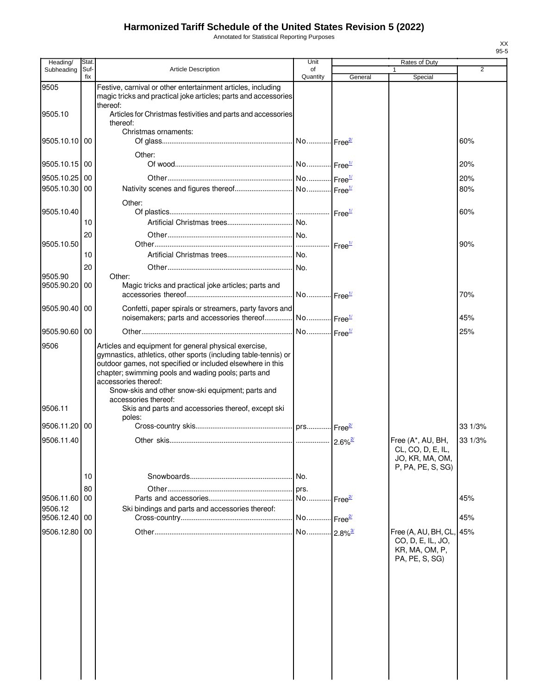Annotated for Statistical Reporting Purposes

| Heading/              | Stat.       |                                                                                                                                                                                                                                                                                                                                                    | Unit                  |                    | Rates of Duty                                                                     |                |
|-----------------------|-------------|----------------------------------------------------------------------------------------------------------------------------------------------------------------------------------------------------------------------------------------------------------------------------------------------------------------------------------------------------|-----------------------|--------------------|-----------------------------------------------------------------------------------|----------------|
| Subheading            | Suf-<br>fix | <b>Article Description</b>                                                                                                                                                                                                                                                                                                                         | of<br>Quantity        | General            | $\mathbf{1}$<br>Special                                                           | $\overline{2}$ |
| 9505                  |             | Festive, carnival or other entertainment articles, including<br>magic tricks and practical joke articles; parts and accessories<br>thereof:                                                                                                                                                                                                        |                       |                    |                                                                                   |                |
| 9505.10               |             | Articles for Christmas festivities and parts and accessories<br>thereof:                                                                                                                                                                                                                                                                           |                       |                    |                                                                                   |                |
| 9505.10.10 00         |             | Christmas ornaments:                                                                                                                                                                                                                                                                                                                               |                       |                    |                                                                                   | 60%            |
| 9505.10.15 00         |             | Other:                                                                                                                                                                                                                                                                                                                                             |                       |                    |                                                                                   | 20%            |
| 9505.10.25 00         |             |                                                                                                                                                                                                                                                                                                                                                    |                       |                    |                                                                                   | 20%            |
| 9505.10.30 00         |             |                                                                                                                                                                                                                                                                                                                                                    |                       |                    |                                                                                   | 80%            |
| 9505.10.40            |             | Other:                                                                                                                                                                                                                                                                                                                                             |                       |                    |                                                                                   | 60%            |
|                       | 10          |                                                                                                                                                                                                                                                                                                                                                    |                       |                    |                                                                                   |                |
| 9505.10.50            | 20          |                                                                                                                                                                                                                                                                                                                                                    |                       |                    |                                                                                   | 90%            |
|                       | 10          |                                                                                                                                                                                                                                                                                                                                                    |                       |                    |                                                                                   |                |
|                       | 20          |                                                                                                                                                                                                                                                                                                                                                    |                       |                    |                                                                                   |                |
| 9505.90<br>9505.90.20 | 00          | Other:<br>Magic tricks and practical joke articles; parts and                                                                                                                                                                                                                                                                                      |                       |                    |                                                                                   | 70%            |
| 9505.90.40 00         |             | Confetti, paper spirals or streamers, party favors and<br>noisemakers; parts and accessories thereof No Free <sup>1/</sup>                                                                                                                                                                                                                         |                       |                    |                                                                                   | 45%            |
| 9505.90.60 00         |             |                                                                                                                                                                                                                                                                                                                                                    | No Free <sup>1/</sup> |                    |                                                                                   | 25%            |
| 9506                  |             | Articles and equipment for general physical exercise,<br>gymnastics, athletics, other sports (including table-tennis) or<br>outdoor games, not specified or included elsewhere in this<br>chapter; swimming pools and wading pools; parts and<br>accessories thereof:<br>Snow-skis and other snow-ski equipment; parts and<br>accessories thereof: |                       |                    |                                                                                   |                |
| 9506.11               |             | Skis and parts and accessories thereof, except ski<br>poles:                                                                                                                                                                                                                                                                                       |                       |                    |                                                                                   |                |
| 9506.11.20 00         |             |                                                                                                                                                                                                                                                                                                                                                    |                       |                    |                                                                                   | 33 1/3%        |
| 9506.11.40            |             |                                                                                                                                                                                                                                                                                                                                                    |                       |                    | Free (A*, AU, BH,<br>CL, CO, D, E, IL,<br>JO, KR, MA, OM,<br>P, PA, PE, S, SG)    | 33 1/3%        |
|                       | 10          |                                                                                                                                                                                                                                                                                                                                                    |                       |                    |                                                                                   |                |
|                       | 80          |                                                                                                                                                                                                                                                                                                                                                    | prs.                  |                    |                                                                                   |                |
| 9506.11.60            | l 00        |                                                                                                                                                                                                                                                                                                                                                    | No.                   | Free <sup>2/</sup> |                                                                                   | 45%            |
| 9506.12<br>9506.12.40 | 00          | Ski bindings and parts and accessories thereof:                                                                                                                                                                                                                                                                                                    |                       |                    |                                                                                   | 45%            |
|                       |             |                                                                                                                                                                                                                                                                                                                                                    |                       |                    |                                                                                   |                |
| 9506.12.80 00         |             |                                                                                                                                                                                                                                                                                                                                                    |                       |                    | Free (A, AU, BH, CL, 45%<br>CO, D, E, IL, JO,<br>KR, MA, OM, P,<br>PA, PE, S, SG) |                |
|                       |             |                                                                                                                                                                                                                                                                                                                                                    |                       |                    |                                                                                   |                |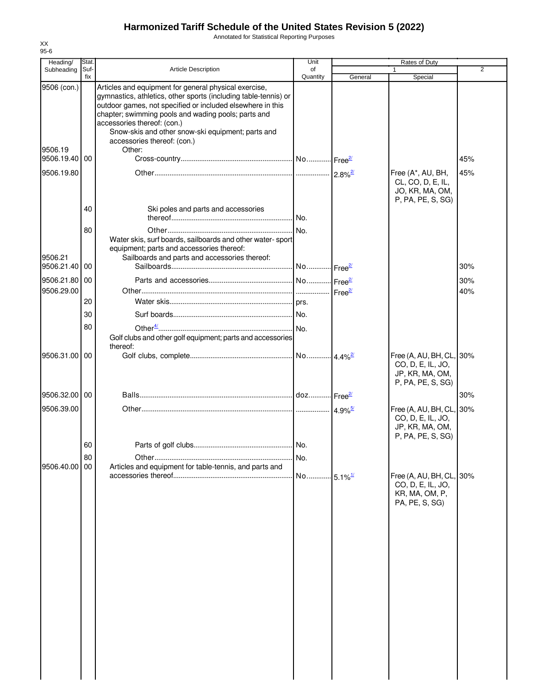Annotated for Statistical Reporting Purposes

| Heading/                                           | Stat.       |                                                                                                                                                                                                                                                                                                                                                                            | Unit                  |         | Rates of Duty                                                                         |                |
|----------------------------------------------------|-------------|----------------------------------------------------------------------------------------------------------------------------------------------------------------------------------------------------------------------------------------------------------------------------------------------------------------------------------------------------------------------------|-----------------------|---------|---------------------------------------------------------------------------------------|----------------|
| Subheading                                         | Suf-<br>fix | Article Description                                                                                                                                                                                                                                                                                                                                                        | of<br>Quantity        | General | Special                                                                               | $\overline{2}$ |
| 9506 (con.)<br>9506.19<br>9506.19.40<br>9506.19.80 | 00          | Articles and equipment for general physical exercise,<br>gymnastics, athletics, other sports (including table-tennis) or<br>outdoor games, not specified or included elsewhere in this<br>chapter; swimming pools and wading pools; parts and<br>accessories thereof: (con.)<br>Snow-skis and other snow-ski equipment; parts and<br>accessories thereof: (con.)<br>Other: |                       |         | Free (A*, AU, BH,<br>CL, CO, D, E, IL,                                                | 45%<br>45%     |
|                                                    | 40          | Ski poles and parts and accessories                                                                                                                                                                                                                                                                                                                                        |                       |         | JO, KR, MA, OM,<br>P, PA, PE, S, SG)                                                  |                |
|                                                    | 80          | Water skis, surf boards, sailboards and other water-sport<br>equipment; parts and accessories thereof:                                                                                                                                                                                                                                                                     | .lNo.<br>No.          |         |                                                                                       |                |
| 9506.21<br>9506.21.40                              | 00          | Sailboards and parts and accessories thereof:                                                                                                                                                                                                                                                                                                                              |                       |         |                                                                                       | 30%            |
| 9506.21.80 00                                      |             |                                                                                                                                                                                                                                                                                                                                                                            |                       |         |                                                                                       | 30%            |
| 9506.29.00                                         | 20          |                                                                                                                                                                                                                                                                                                                                                                            |                       |         |                                                                                       | 40%            |
|                                                    | 30<br>80    | Golf clubs and other golf equipment; parts and accessories                                                                                                                                                                                                                                                                                                                 |                       |         |                                                                                       |                |
| 9506.31.00 00                                      |             | thereof:                                                                                                                                                                                                                                                                                                                                                                   |                       |         | Free (A, AU, BH, CL, 30%<br>CO, D, E, IL, JO,<br>JP, KR, MA, OM,<br>P, PA, PE, S, SG) |                |
| 9506.32.00 00                                      |             |                                                                                                                                                                                                                                                                                                                                                                            |                       |         |                                                                                       | 30%            |
| 9506.39.00                                         |             |                                                                                                                                                                                                                                                                                                                                                                            |                       |         | Free (A, AU, BH, CL, 30%<br>CO, D, E, IL, JO,<br>JP, KR, MA, OM,<br>P, PA, PE, S, SG) |                |
|                                                    | 60<br>80    |                                                                                                                                                                                                                                                                                                                                                                            | No.                   |         |                                                                                       |                |
| 9506.40.00                                         | 00          | Articles and equipment for table-tennis, and parts and                                                                                                                                                                                                                                                                                                                     | No 5.1% <sup>1/</sup> |         | Free (A, AU, BH, CL, 30%<br>CO, D, E, IL, JO,<br>KR, MA, OM, P,<br>PA, PE, S, SG)     |                |
|                                                    |             |                                                                                                                                                                                                                                                                                                                                                                            |                       |         |                                                                                       |                |
|                                                    |             |                                                                                                                                                                                                                                                                                                                                                                            |                       |         |                                                                                       |                |
|                                                    |             |                                                                                                                                                                                                                                                                                                                                                                            |                       |         |                                                                                       |                |
|                                                    |             |                                                                                                                                                                                                                                                                                                                                                                            |                       |         |                                                                                       |                |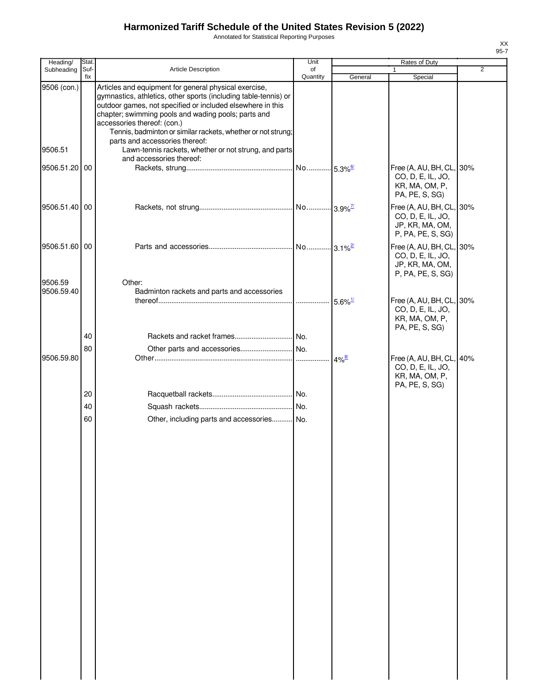Annotated for Statistical Reporting Purposes

| Heading/              | Stat.       |                                                                                                                                                                                                                                                                                                                                                                                | Unit           |                     | Rates of Duty                                                                         |   |
|-----------------------|-------------|--------------------------------------------------------------------------------------------------------------------------------------------------------------------------------------------------------------------------------------------------------------------------------------------------------------------------------------------------------------------------------|----------------|---------------------|---------------------------------------------------------------------------------------|---|
| Subheading            | Suf-<br>fix | <b>Article Description</b>                                                                                                                                                                                                                                                                                                                                                     | of<br>Quantity | General             | $\mathbf{1}$<br>Special                                                               | 2 |
| 9506 (con.)           |             | Articles and equipment for general physical exercise,<br>gymnastics, athletics, other sports (including table-tennis) or<br>outdoor games, not specified or included elsewhere in this<br>chapter; swimming pools and wading pools; parts and<br>accessories thereof: (con.)<br>Tennis, badminton or similar rackets, whether or not strung;<br>parts and accessories thereof: |                |                     |                                                                                       |   |
| 9506.51               |             | Lawn-tennis rackets, whether or not strung, and parts<br>and accessories thereof:                                                                                                                                                                                                                                                                                              |                |                     |                                                                                       |   |
| 9506.51.20 00         |             |                                                                                                                                                                                                                                                                                                                                                                                |                |                     | Free (A, AU, BH, CL, 30%<br>CO, D, E, IL, JO,<br>KR, MA, OM, P,<br>PA, PE, S, SG)     |   |
| 9506.51.40 00         |             |                                                                                                                                                                                                                                                                                                                                                                                |                |                     | Free (A, AU, BH, CL, 30%<br>CO, D, E, IL, JO,<br>JP, KR, MA, OM,<br>P, PA, PE, S, SG) |   |
| 9506.51.60 00         |             |                                                                                                                                                                                                                                                                                                                                                                                |                |                     | Free (A, AU, BH, CL, 30%<br>CO, D, E, IL, JO,<br>JP, KR, MA, OM,<br>P, PA, PE, S, SG) |   |
| 9506.59<br>9506.59.40 |             | Other:<br>Badminton rackets and parts and accessories                                                                                                                                                                                                                                                                                                                          |                |                     |                                                                                       |   |
|                       |             |                                                                                                                                                                                                                                                                                                                                                                                |                |                     | Free (A, AU, BH, CL, 30%<br>CO, D, E, IL, JO,<br>KR, MA, OM, P,<br>PA, PE, S, SG)     |   |
|                       | 40          |                                                                                                                                                                                                                                                                                                                                                                                |                |                     |                                                                                       |   |
| 9506.59.80            | 80          |                                                                                                                                                                                                                                                                                                                                                                                |                | $4\%^{\frac{8}{2}}$ | Free (A, AU, BH, CL, 40%<br>CO, D, E, IL, JO,<br>KR, MA, OM, P,<br>PA, PE, S, SG)     |   |
|                       | 20          |                                                                                                                                                                                                                                                                                                                                                                                |                |                     |                                                                                       |   |
|                       | 40          |                                                                                                                                                                                                                                                                                                                                                                                |                |                     |                                                                                       |   |
|                       | 60          | Other, including parts and accessories No.                                                                                                                                                                                                                                                                                                                                     |                |                     |                                                                                       |   |
|                       |             |                                                                                                                                                                                                                                                                                                                                                                                |                |                     |                                                                                       |   |
|                       |             |                                                                                                                                                                                                                                                                                                                                                                                |                |                     |                                                                                       |   |
|                       |             |                                                                                                                                                                                                                                                                                                                                                                                |                |                     |                                                                                       |   |
|                       |             |                                                                                                                                                                                                                                                                                                                                                                                |                |                     |                                                                                       |   |
|                       |             |                                                                                                                                                                                                                                                                                                                                                                                |                |                     |                                                                                       |   |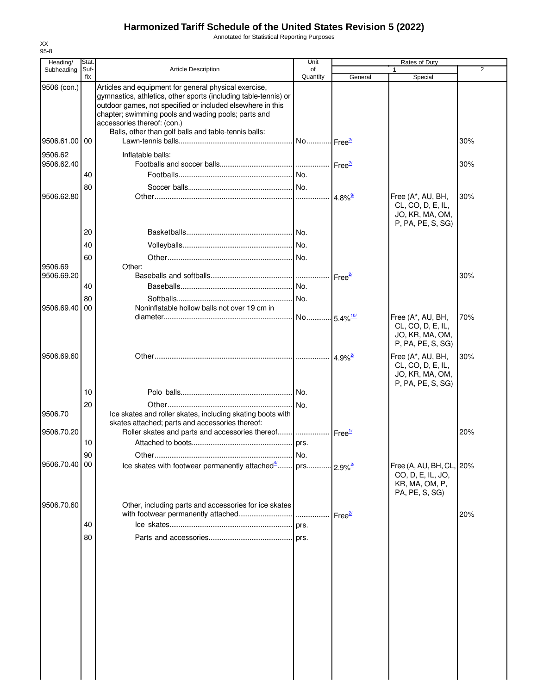Annotated for Statistical Reporting Purposes

| Heading/              | Stat.       |                                                                                                                                                                                                                                                                                                                                      | Unit                   |                       | Rates of Duty                                                                     |                |
|-----------------------|-------------|--------------------------------------------------------------------------------------------------------------------------------------------------------------------------------------------------------------------------------------------------------------------------------------------------------------------------------------|------------------------|-----------------------|-----------------------------------------------------------------------------------|----------------|
| Subheading            | Suf-<br>fix | <b>Article Description</b>                                                                                                                                                                                                                                                                                                           | of<br>Quantity         | General               | Special                                                                           | $\overline{2}$ |
| 9506 (con.)           |             | Articles and equipment for general physical exercise,<br>gymnastics, athletics, other sports (including table-tennis) or<br>outdoor games, not specified or included elsewhere in this<br>chapter; swimming pools and wading pools; parts and<br>accessories thereof: (con.)<br>Balls, other than golf balls and table-tennis balls: |                        |                       |                                                                                   |                |
| 9506.61.00 00         |             |                                                                                                                                                                                                                                                                                                                                      | No Free <sup>2/</sup>  |                       |                                                                                   | 30%            |
| 9506.62<br>9506.62.40 |             | Inflatable balls:                                                                                                                                                                                                                                                                                                                    |                        |                       |                                                                                   | 30%            |
|                       | 40          |                                                                                                                                                                                                                                                                                                                                      | No.                    |                       |                                                                                   |                |
| 9506.62.80            | 80          |                                                                                                                                                                                                                                                                                                                                      |                        | $4.8\%$ <sup>9/</sup> | Free (A*, AU, BH,<br>CL, CO, D, E, IL,                                            | 30%            |
|                       | 20          |                                                                                                                                                                                                                                                                                                                                      | No.                    |                       | JO, KR, MA, OM,<br>P, PA, PE, S, SG)                                              |                |
|                       | 40          |                                                                                                                                                                                                                                                                                                                                      |                        |                       |                                                                                   |                |
| 9506.69               | 60          | Other:                                                                                                                                                                                                                                                                                                                               | . No.                  |                       |                                                                                   |                |
| 9506.69.20            |             |                                                                                                                                                                                                                                                                                                                                      |                        | ⊶ Free <sup>2/</sup>  |                                                                                   | 30%            |
|                       | 40          |                                                                                                                                                                                                                                                                                                                                      |                        |                       |                                                                                   |                |
| 9506.69.40            | 80<br>00    | Noninflatable hollow balls not over 19 cm in                                                                                                                                                                                                                                                                                         | No.                    |                       |                                                                                   |                |
|                       |             |                                                                                                                                                                                                                                                                                                                                      | No 5.4% <sup>10/</sup> |                       | Free (A*, AU, BH,<br>CL, CO, D, E, IL,<br>JO, KR, MA, OM,<br>P, PA, PE, S, SG)    | 70%            |
| 9506.69.60            |             |                                                                                                                                                                                                                                                                                                                                      |                        | 4.9% <sup>2/</sup>    | Free (A*, AU, BH,<br>CL, CO, D, E, IL,<br>JO, KR, MA, OM,<br>P, PA, PE, S, SG)    | 30%            |
|                       | 10          |                                                                                                                                                                                                                                                                                                                                      |                        |                       |                                                                                   |                |
| 9506.70               | 20          | Ice skates and roller skates, including skating boots with<br>skates attached; parts and accessories thereof:                                                                                                                                                                                                                        |                        |                       |                                                                                   |                |
| 9506.70.20            | 10          | Roller skates and parts and accessories thereof    Free <sup>1/</sup>                                                                                                                                                                                                                                                                | prs.                   |                       |                                                                                   | 20%            |
|                       | 90          |                                                                                                                                                                                                                                                                                                                                      |                        |                       |                                                                                   |                |
| 9506.70.40 00         |             |                                                                                                                                                                                                                                                                                                                                      |                        |                       | Free (A, AU, BH, CL, 20%<br>CO, D, E, IL, JO,<br>KR, MA, OM, P,<br>PA, PE, S, SG) |                |
| 9506.70.60            | 40          | Other, including parts and accessories for ice skates                                                                                                                                                                                                                                                                                |                        | Free <sup>27</sup>    |                                                                                   | 20%            |
|                       | 80          |                                                                                                                                                                                                                                                                                                                                      |                        |                       |                                                                                   |                |
|                       |             |                                                                                                                                                                                                                                                                                                                                      |                        |                       |                                                                                   |                |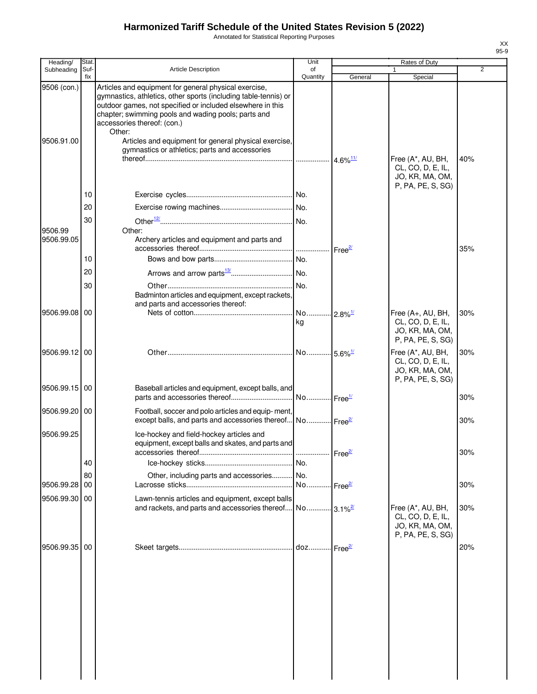Annotated for Statistical Reporting Purposes

| Heading/      | <b>Stat</b> |                                                                                                                                                                                                                                                                                        | Unit                        |                                 | Rates of Duty                                                                  |                |
|---------------|-------------|----------------------------------------------------------------------------------------------------------------------------------------------------------------------------------------------------------------------------------------------------------------------------------------|-----------------------------|---------------------------------|--------------------------------------------------------------------------------|----------------|
| Subheading    | Suf-<br>fix | <b>Article Description</b>                                                                                                                                                                                                                                                             | of<br>Quantity              | General                         | Special                                                                        | $\overline{2}$ |
| 9506 (con.)   |             | Articles and equipment for general physical exercise,<br>gymnastics, athletics, other sports (including table-tennis) or<br>outdoor games, not specified or included elsewhere in this<br>chapter; swimming pools and wading pools; parts and<br>accessories thereof: (con.)<br>Other: |                             |                                 |                                                                                |                |
| 9506.91.00    |             | Articles and equipment for general physical exercise,<br>gymnastics or athletics; parts and accessories                                                                                                                                                                                |                             | $4.6\%$ <sup>11/</sup>          | Free (A*, AU, BH,<br>CL, CO, D, E, IL,<br>JO, KR, MA, OM,<br>P, PA, PE, S, SG) | 40%            |
|               | 10          |                                                                                                                                                                                                                                                                                        |                             |                                 |                                                                                |                |
|               | 20          |                                                                                                                                                                                                                                                                                        |                             |                                 |                                                                                |                |
| 9506.99       | 30          | Other:                                                                                                                                                                                                                                                                                 |                             |                                 |                                                                                |                |
| 9506.99.05    |             | Archery articles and equipment and parts and                                                                                                                                                                                                                                           | .                           | Free <sup>2/</sup>              |                                                                                | 35%            |
|               | 10          |                                                                                                                                                                                                                                                                                        | No.                         |                                 |                                                                                |                |
|               | 20          |                                                                                                                                                                                                                                                                                        |                             |                                 |                                                                                |                |
|               | 30          |                                                                                                                                                                                                                                                                                        | No.                         |                                 |                                                                                |                |
|               |             | Badminton articles and equipment, except rackets,<br>and parts and accessories thereof:                                                                                                                                                                                                |                             |                                 |                                                                                |                |
| 9506.99.08    | 00          |                                                                                                                                                                                                                                                                                        | No 2.8% <sup>1/</sup><br>kg |                                 | Free (A+, AU, BH,<br>CL, CO, D, E, IL,<br>JO, KR, MA, OM,<br>P, PA, PE, S, SG) | 30%            |
| 9506.99.12 00 |             |                                                                                                                                                                                                                                                                                        |                             |                                 | Free (A*, AU, BH,<br>CL, CO, D, E, IL,<br>JO, KR, MA, OM,<br>P, PA, PE, S, SG) | 30%            |
| 9506.99.15 00 |             | Baseball articles and equipment, except balls, and                                                                                                                                                                                                                                     |                             |                                 |                                                                                | 30%            |
| 9506.99.20 00 |             | Football, soccer and polo articles and equip- ment,<br>except balls, and parts and accessories thereof No Free <sup>21</sup>                                                                                                                                                           |                             |                                 |                                                                                | 30%            |
| 9506.99.25    |             | Ice-hockey and field-hockey articles and<br>equipment, except balls and skates, and parts and                                                                                                                                                                                          |                             | Free <sup>2/</sup>              |                                                                                | 30%            |
|               | 40          |                                                                                                                                                                                                                                                                                        |                             |                                 |                                                                                |                |
|               | 80          | Other, including parts and accessories No.                                                                                                                                                                                                                                             |                             |                                 |                                                                                |                |
| 9506.99.28    | 00          |                                                                                                                                                                                                                                                                                        | No                          | Free $\frac{27}{2}$             |                                                                                | 30%            |
| 9506.99.30    | 00          | Lawn-tennis articles and equipment, except balls<br>and rackets, and parts and accessories thereof No 3.1% <sup>2/</sup>                                                                                                                                                               |                             |                                 | Free (A*, AU, BH,<br>CL, CO, D, E, IL,<br>JO, KR, MA, OM,                      | 30%            |
| 9506.99.35    | 00          |                                                                                                                                                                                                                                                                                        |                             | …∏Free <del><sup>2</sup>″</del> | P, PA, PE, S, SG)                                                              | 20%            |
|               |             |                                                                                                                                                                                                                                                                                        |                             |                                 |                                                                                |                |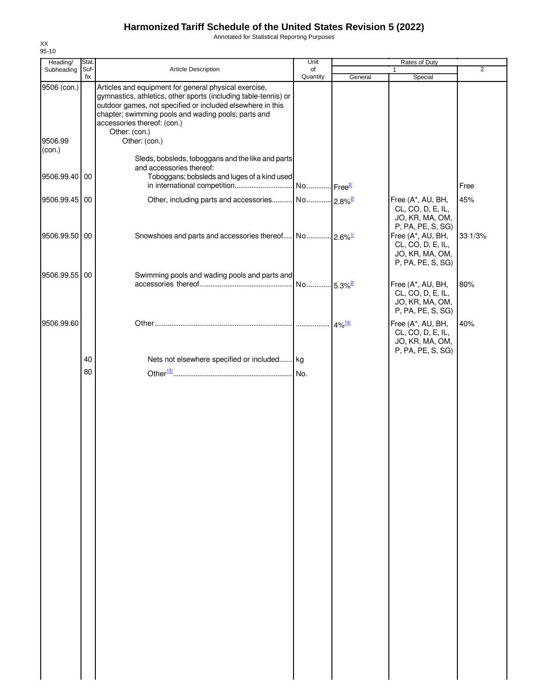Annotated for Statistical Reporting Purposes

| Heading/          | Stat.       |                                                                                                                                                                                                                                                                                               | Unit           |                      | Rates of Duty                                                                  |         |
|-------------------|-------------|-----------------------------------------------------------------------------------------------------------------------------------------------------------------------------------------------------------------------------------------------------------------------------------------------|----------------|----------------------|--------------------------------------------------------------------------------|---------|
| Subheading        | Suf-<br>fix | <b>Article Description</b>                                                                                                                                                                                                                                                                    | of<br>Quantity | General              | $\mathbf{1}$<br>Special                                                        | 2       |
| 9506 (con.)       |             | Articles and equipment for general physical exercise,<br>gymnastics, athletics, other sports (including table-tennis) or<br>outdoor games, not specified or included elsewhere in this<br>chapter; swimming pools and wading pools; parts and<br>accessories thereof: (con.)<br>Other: (con.) |                |                      |                                                                                |         |
| 9506.99<br>(con.) |             | Other: (con.)<br>Sleds, bobsleds, toboggans and the like and parts<br>and accessories thereof:                                                                                                                                                                                                |                |                      |                                                                                |         |
| 9506.99.40 00     |             | Toboggans; bobsleds and luges of a kind used                                                                                                                                                                                                                                                  |                |                      |                                                                                | Free    |
| 9506.99.45 00     |             |                                                                                                                                                                                                                                                                                               |                |                      | Free (A*, AU, BH,<br>CL, CO, D, E, IL,<br>JO, KR, MA, OM,<br>P, PA, PE, S, SG) | 45%     |
| 9506.99.50 00     |             |                                                                                                                                                                                                                                                                                               |                |                      | Free (A*, AU, BH,<br>CL, CO, D, E, IL,<br>JO, KR, MA, OM,<br>P, PA, PE, S, SG) | 33 1/3% |
| 9506.99.55 00     |             | Swimming pools and wading pools and parts and                                                                                                                                                                                                                                                 |                |                      | Free (A*, AU, BH,<br>CL, CO, D, E, IL,<br>JO, KR, MA, OM,<br>P, PA, PE, S, SG) | 80%     |
| 9506.99.60        |             |                                                                                                                                                                                                                                                                                               |                | $4\%$ <sup>14/</sup> | Free (A*, AU, BH,<br>CL, CO, D, E, IL,<br>JO, KR, MA, OM,<br>P, PA, PE, S, SG) | 40%     |
|                   | 40          | Nets not elsewhere specified or included kg                                                                                                                                                                                                                                                   |                |                      |                                                                                |         |
|                   | 80          |                                                                                                                                                                                                                                                                                               |                |                      |                                                                                |         |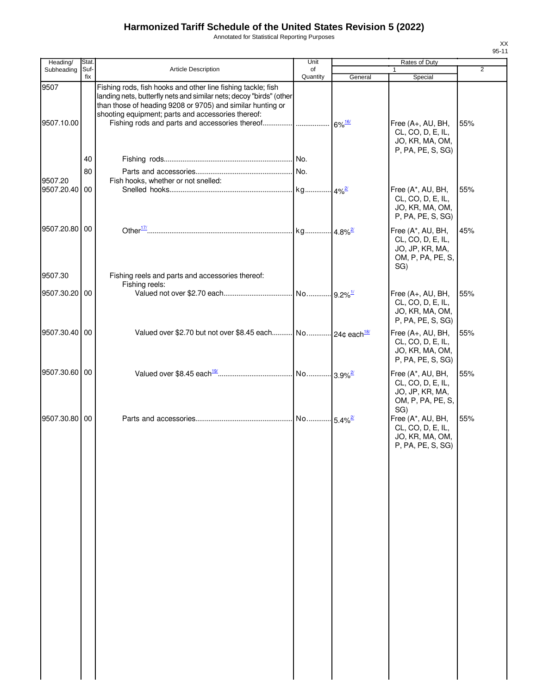Annotated for Statistical Reporting Purposes

| Heading/                 | Stat.       |                                                                                                                                                                                                                                                         | Unit           |         | Rates of Duty                                                                         |                |
|--------------------------|-------------|---------------------------------------------------------------------------------------------------------------------------------------------------------------------------------------------------------------------------------------------------------|----------------|---------|---------------------------------------------------------------------------------------|----------------|
| Subheading               | Suf-<br>fix | <b>Article Description</b>                                                                                                                                                                                                                              | of<br>Quantity | General | Special                                                                               | $\overline{2}$ |
| 9507<br>9507.10.00       |             | Fishing rods, fish hooks and other line fishing tackle; fish<br>landing nets, butterfly nets and similar nets; decoy "birds" (other<br>than those of heading 9208 or 9705) and similar hunting or<br>shooting equipment; parts and accessories thereof: |                |         | Free (A+, AU, BH,<br>CL, CO, D, E, IL,<br>JO, KR, MA, OM,                             | 55%            |
|                          | 40          |                                                                                                                                                                                                                                                         |                |         | P, PA, PE, S, SG)                                                                     |                |
|                          |             |                                                                                                                                                                                                                                                         |                |         |                                                                                       |                |
|                          | 80          |                                                                                                                                                                                                                                                         |                |         |                                                                                       |                |
| 9507.20<br>9507.20.40 00 |             | Fish hooks, whether or not snelled:                                                                                                                                                                                                                     |                |         | Free (A*, AU, BH,<br>CL, CO, D, E, IL,<br>JO, KR, MA, OM,<br>P, PA, PE, S, SG)        | 55%            |
| 9507.20.80 00            |             |                                                                                                                                                                                                                                                         |                |         | Free (A*, AU, BH,<br>CL, CO, D, E, IL,<br>JO, JP, KR, MA,<br>OM, P, PA, PE, S,<br>SG) | 45%            |
| 9507.30                  |             | Fishing reels and parts and accessories thereof:                                                                                                                                                                                                        |                |         |                                                                                       |                |
| 9507.30.20 00            |             | Fishing reels:                                                                                                                                                                                                                                          |                |         | Free (A+, AU, BH,<br>CL, CO, D, E, IL,<br>JO, KR, MA, OM,<br>P, PA, PE, S, SG)        | 55%            |
| 9507.30.40 00            |             | Valued over \$2.70 but not over \$8.45 each No 24¢ each <sup>18/</sup>                                                                                                                                                                                  |                |         | Free (A+, AU, BH,<br>CL, CO, D, E, IL,<br>JO, KR, MA, OM,<br>P, PA, PE, S, SG)        | 55%            |
| 9507.30.60 00            |             |                                                                                                                                                                                                                                                         |                |         | Free (A*, AU, BH,<br>CL, CO, D, E, IL,<br>JO, JP, KR, MA,<br>OM, P, PA, PE, S,        | 55%            |
| 9507.30.80 00            |             |                                                                                                                                                                                                                                                         |                |         | SG)<br>Free (A*, AU, BH,<br>CL, CO, D, E, IL,<br>JO, KR, MA, OM,<br>P, PA, PE, S, SG) | 55%            |
|                          |             |                                                                                                                                                                                                                                                         |                |         |                                                                                       |                |
|                          |             |                                                                                                                                                                                                                                                         |                |         |                                                                                       |                |
|                          |             |                                                                                                                                                                                                                                                         |                |         |                                                                                       |                |
|                          |             |                                                                                                                                                                                                                                                         |                |         |                                                                                       |                |
|                          |             |                                                                                                                                                                                                                                                         |                |         |                                                                                       |                |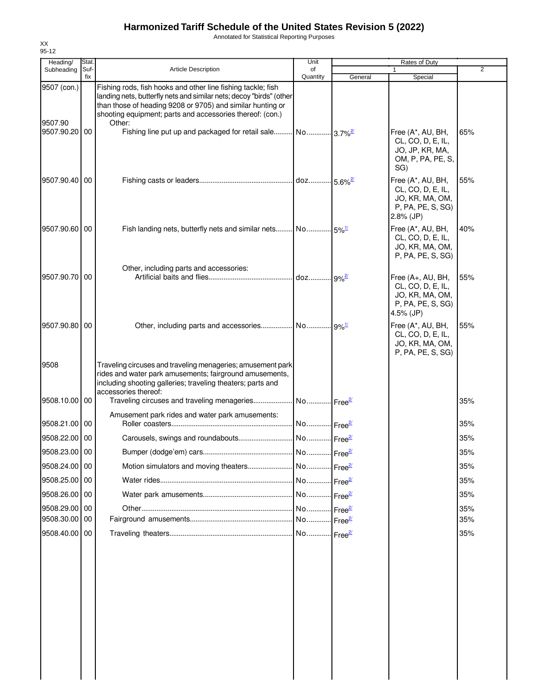Annotated for Statistical Reporting Purposes

| 95-12                    |               |                                                                                                                                                                                                                                                                |                        |                                    |                                                                                                |                |
|--------------------------|---------------|----------------------------------------------------------------------------------------------------------------------------------------------------------------------------------------------------------------------------------------------------------------|------------------------|------------------------------------|------------------------------------------------------------------------------------------------|----------------|
| Heading/<br>Subheading   | Stat.<br>Suf- | <b>Article Description</b>                                                                                                                                                                                                                                     | Unit<br>of             |                                    | Rates of Duty                                                                                  | $\overline{2}$ |
|                          | fix           |                                                                                                                                                                                                                                                                | Quantity               | General                            | Special                                                                                        |                |
| 9507 (con.)              |               | Fishing rods, fish hooks and other line fishing tackle; fish<br>landing nets, butterfly nets and similar nets; decoy "birds" (other<br>than those of heading 9208 or 9705) and similar hunting or<br>shooting equipment; parts and accessories thereof: (con.) |                        |                                    |                                                                                                |                |
| 9507.90<br>9507.90.20 00 |               | Other:<br>Fishing line put up and packaged for retail sale No 3.7% <sup>2</sup>                                                                                                                                                                                |                        |                                    | Free (A*, AU, BH,<br>CL, CO, D, E, IL,<br>JO, JP, KR, MA,<br>OM, P, PA, PE, S,<br>SG)          | 65%            |
| 9507.90.40 00            |               |                                                                                                                                                                                                                                                                |                        |                                    | Free (A*, AU, BH,<br>CL, CO, D, E, IL,<br>JO, KR, MA, OM,<br>P, PA, PE, S, SG)<br>$2.8\%$ (JP) | 55%            |
| 9507.90.60 00            |               |                                                                                                                                                                                                                                                                |                        |                                    | Free (A*, AU, BH,<br>CL, CO, D, E, IL,<br>JO, KR, MA, OM,<br>P, PA, PE, S, SG)                 | 40%            |
| 9507.90.70 00            |               | Other, including parts and accessories:                                                                                                                                                                                                                        | doz 9% <sup>2/</sup>   |                                    | Free (A+, AU, BH,<br>CL, CO, D, E, IL,<br>JO, KR, MA, OM,<br>P, PA, PE, S, SG)<br>4.5% (JP)    | 55%            |
| 9507.90.80 00            |               |                                                                                                                                                                                                                                                                |                        |                                    | Free (A*, AU, BH,<br>CL, CO, D, E, IL,<br>JO, KR, MA, OM,<br>P, PA, PE, S, SG)                 | 55%            |
| 9508                     |               | Traveling circuses and traveling menageries; amusement park<br>rides and water park amusements; fairground amusements,<br>including shooting galleries; traveling theaters; parts and<br>accessories thereof:                                                  |                        |                                    |                                                                                                |                |
| 9508.10.00 00            |               | Amusement park rides and water park amusements:                                                                                                                                                                                                                |                        |                                    |                                                                                                | 35%            |
| 9508.21.00 00            |               |                                                                                                                                                                                                                                                                | No Free <sup>2/</sup>  |                                    |                                                                                                | 35%            |
| 9508.22.00 00            |               |                                                                                                                                                                                                                                                                | No  Free <sup>2/</sup> |                                    |                                                                                                | 35%            |
| 9508.23.00 00            |               |                                                                                                                                                                                                                                                                |                        | $\cdot$ Free $\frac{27}{2}$        |                                                                                                | 35%            |
| 9508.24.00 00            |               | Motion simulators and moving theaters                                                                                                                                                                                                                          | No                     | $\frac{2}{\pi}$ Free <sup>2/</sup> |                                                                                                | 35%            |
| 9508.25.00 00            |               |                                                                                                                                                                                                                                                                | No Free <sup>2/</sup>  |                                    |                                                                                                | 35%            |
| 9508.26.00 00            |               |                                                                                                                                                                                                                                                                | No                     | $\cdot$ Free $\frac{27}{2}$        |                                                                                                | 35%            |
| 9508.29.00 00            |               |                                                                                                                                                                                                                                                                | No                     | $\frac{2}{2}$ Free <sup>2/</sup>   |                                                                                                | 35%            |
| 9508.30.00               | 00            |                                                                                                                                                                                                                                                                |                        | $\cdot$ Free $\frac{27}{2}$        |                                                                                                | 35%            |
| 9508.40.00 00            |               |                                                                                                                                                                                                                                                                |                        |                                    |                                                                                                | 35%            |

XX